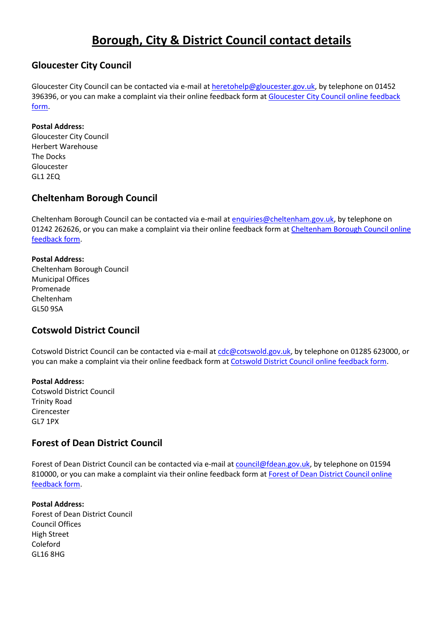# **Borough, City & District Council contact details**

## **Gloucester City Council**

Gloucester City Council can be contacted via e-mail at [heretohelp@gloucester.gov.uk,](mailto:heretohelp@gloucester.gov.uk) by telephone on 01452 396396, or you can make a complaint via their online feedback form at [Gloucester City Council online feedback](https://forms.gloucester.gov.uk/contactusforms/ComplaintForm.aspx)  [form.](https://forms.gloucester.gov.uk/contactusforms/ComplaintForm.aspx)

#### **Postal Address:**

Gloucester City Council Herbert Warehouse The Docks Gloucester GL1 2EQ

## **Cheltenham Borough Council**

Cheltenham Borough Council can be contacted via e-mail at [enquiries@cheltenham.gov.uk,](mailto:enquiries@cheltenham.gov.uk) by telephone on 01242 262626, or you can make a complaint via their online feedback form at [Cheltenham Borough Council online](https://www.cheltenham.gov.uk/forms/form/185/complaints_comments_and_compliments_form)  [feedback form.](https://www.cheltenham.gov.uk/forms/form/185/complaints_comments_and_compliments_form)

#### **Postal Address:**

Cheltenham Borough Council Municipal Offices Promenade Cheltenham GL50 9SA

### **Cotswold District Council**

Cotswold District Council can be contacted via e-mail at [cdc@cotswold.gov.uk,](mailto:cdc@cotswold.gov.uk) by telephone on 01285 623000, or you can make a complaint via their online feedback form at [Cotswold District Council online feedback form.](https://forms.cotswold.gov.uk/eforms/ufsmain?formid=ORG_GENERAL_ENQ&C_PRM__ORG=CDC&C_PRM__UID_ACCESSKEY=3c774fab929cc2fc&ebz=1_1475669932802&ebd=0&ebz=1_1475669932802)

#### **Postal Address:**

Cotswold District Council Trinity Road Cirencester GL7 1PX

## **Forest of Dean District Council**

Forest of Dean District Council can be contacted via e-mail at [council@fdean.gov.uk,](mailto:council@fdean.gov.uk) by telephone on 01594 810000, or you can make a complaint via their online feedback form at [Forest of Dean District Council online](https://forms.fdean.gov.uk/eforms/ufsmain?formid=ORG_GENERAL_ENQ&C_PRM__RTYPE=General+Enquiry%7CComplaint&C_PRM__ORG=FOD&ebz=1_1516199140114&ebd=0&ebz=1_1516199140114)  [feedback form.](https://forms.fdean.gov.uk/eforms/ufsmain?formid=ORG_GENERAL_ENQ&C_PRM__RTYPE=General+Enquiry%7CComplaint&C_PRM__ORG=FOD&ebz=1_1516199140114&ebd=0&ebz=1_1516199140114)

#### **Postal Address:** Forest of Dean District Council Council Offices High Street Coleford GL16 8HG